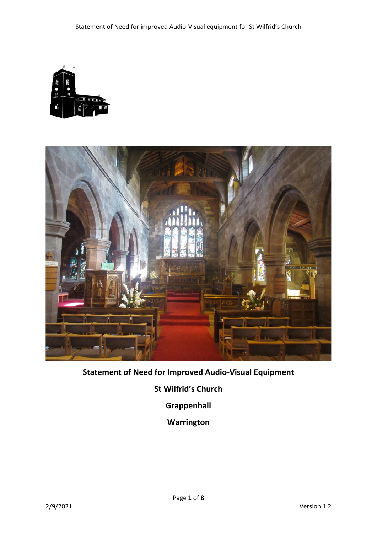



# **Statement of Need for Improved Audio-Visual Equipment**

**St Wilfrid's Church**

**Grappenhall**

**Warrington**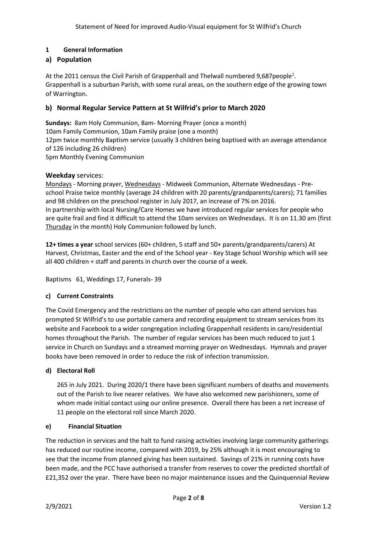# **1 General Information**

## **a) Population**

At the 2011 census the Civil Parish of Grappenhall and Thelwall numbered 9,687 people<sup>1</sup>. Grappenhall is a suburban Parish, with some rural areas, on the southern edge of the growing town of Warrington.

# **b) Normal Regular Service Pattern at St Wilfrid's prior to March 2020**

**Sundays:** 8am Holy Communion, 8am- Morning Prayer (once a month) 10am Family Communion, 10am Family praise (one a month) 12pm twice monthly Baptism service (usually 3 children being baptised with an average attendance of 126 including 26 children) 5pm Monthly Evening Communion

### **Weekday** services:

Mondays - Morning prayer, Wednesdays - Midweek Communion, Alternate Wednesdays - Preschool Praise twice monthly (average 24 children with 20 parents/grandparents/carers); 71 families and 98 children on the preschool register in July 2017, an increase of 7% on 2016. In partnership with local Nursing/Care Homes we have introduced regular services for people who are quite frail and find it difficult to attend the 10am services on Wednesdays. It is on 11.30 am (first Thursday in the month) Holy Communion followed by lunch.

**12+ times a year** school services (60+ children, 5 staff and 50+ parents/grandparents/carers) At Harvest, Christmas, Easter and the end of the School year - Key Stage School Worship which will see all 400 children + staff and parents in church over the course of a week.

Baptisms 61, Weddings 17, Funerals- 39

### **c) Current Constraints**

The Covid Emergency and the restrictions on the number of people who can attend services has prompted St Wilfrid's to use portable camera and recording equipment to stream services from its website and Facebook to a wider congregation including Grappenhall residents in care/residential homes throughout the Parish. The number of regular services has been much reduced to just 1 service in Church on Sundays and a streamed morning prayer on Wednesdays. Hymnals and prayer books have been removed in order to reduce the risk of infection transmission.

### **d) Electoral Roll**

265 in July 2021. During 2020/1 there have been significant numbers of deaths and movements out of the Parish to live nearer relatives. We have also welcomed new parishioners, some of whom made initial contact using our online presence. Overall there has been a net increase of 11 people on the electoral roll since March 2020.

#### **e) Financial Situation**

The reduction in services and the halt to fund raising activities involving large community gatherings has reduced our routine income, compared with 2019, by 25% although it is most encouraging to see that the income from planned giving has been sustained. Savings of 21% in running costs have been made, and the PCC have authorised a transfer from reserves to cover the predicted shortfall of £21,352 over the year. There have been no major maintenance issues and the Quinquennial Review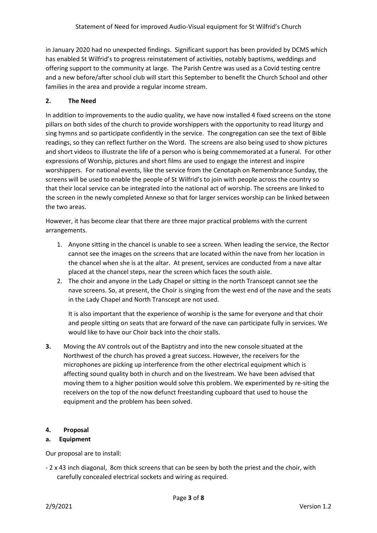in January 2020 had no unexpected findings. Significant support has been provided by DCMS which has enabled St Wilfrid's to progress reinstatement of activities, notably baptisms, weddings and offering support to the community at large. The Parish Centre was used as a Covid testing centre and a new before/after school club will start this September to benefit the Church School and other families in the area and provide a regular income stream.

# **2. The Need**

In addition to improvements to the audio quality, we have now installed 4 fixed screens on the stone pillars on both sides of the church to provide worshippers with the opportunity to read liturgy and sing hymns and so participate confidently in the service. The congregation can see the text of Bible readings, so they can reflect further on the Word. The screens are also being used to show pictures and short videos to illustrate the life of a person who is being commemorated at a funeral. For other expressions of Worship, pictures and short films are used to engage the interest and inspire worshippers. For national events, like the service from the Cenotaph on Remembrance Sunday, the screens will be used to enable the people of St Wilfrid's to join with people across the country so that their local service can be integrated into the national act of worship. The screens are linked to the screen in the newly completed Annexe so that for larger services worship can be linked between the two areas.

However, it has become clear that there are three major practical problems with the current arrangements.

- 1. Anyone sitting in the chancel is unable to see a screen. When leading the service, the Rector cannot see the images on the screens that are located within the nave from her location in the chancel when she is at the altar. At present, services are conducted from a nave altar placed at the chancel steps, near the screen which faces the south aisle.
- 2. The choir and anyone in the Lady Chapel or sitting in the north Transcept cannot see the nave screens. So, at present, the Choir is singing from the west end of the nave and the seats in the Lady Chapel and North Transcept are not used.

It is also important that the experience of worship is the same for everyone and that choir and people sitting on seats that are forward of the nave can participate fully in services. We would like to have our Choir back into the choir stalls.

**3.** Moving the AV controls out of the Baptistry and into the new console situated at the Northwest of the church has proved a great success. However, the receivers for the microphones are picking up interference from the other electrical equipment which is affecting sound quality both in church and on the livestream. We have been advised that moving them to a higher position would solve this problem. We experimented by re-siting the receivers on the top of the now defunct freestanding cupboard that used to house the equipment and the problem has been solved.

### **4. Proposal**

# **a. Equipment**

Our proposal are to install:

- 2 x 43 inch diagonal, 8cm thick screens that can be seen by both the priest and the choir, with carefully concealed electrical sockets and wiring as required.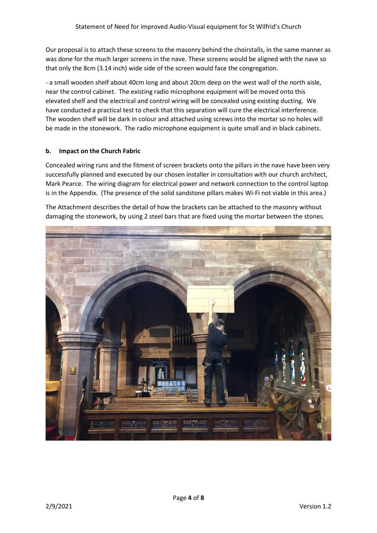Our proposal is to attach these screens to the masonry behind the choirstalls, in the same manner as was done for the much larger screens in the nave. These screens would be aligned with the nave so that only the 8cm (3.14 inch) wide side of the screen would face the congregation.

- a small wooden shelf about 40cm long and about 20cm deep on the west wall of the north aisle, near the control cabinet. The existing radio microphone equipment will be moved onto this elevated shelf and the electrical and control wiring will be concealed using existing ducting. We have conducted a practical test to check that this separation will cure the electrical interference. The wooden shelf will be dark in colour and attached using screws into the mortar so no holes will be made in the stonework. The radio microphone equipment is quite small and in black cabinets.

#### **b. Impact on the Church Fabric**

Concealed wiring runs and the fitment of screen brackets onto the pillars in the nave have been very successfully planned and executed by our chosen installer in consultation with our church architect, Mark Pearce. The wiring diagram for electrical power and network connection to the control laptop is in the Appendix. (The presence of the solid sandstone pillars makes Wi-Fi not viable in this area.)

The Attachment describes the detail of how the brackets can be attached to the masonry without damaging the stonework, by using 2 steel bars that are fixed using the mortar between the stones.

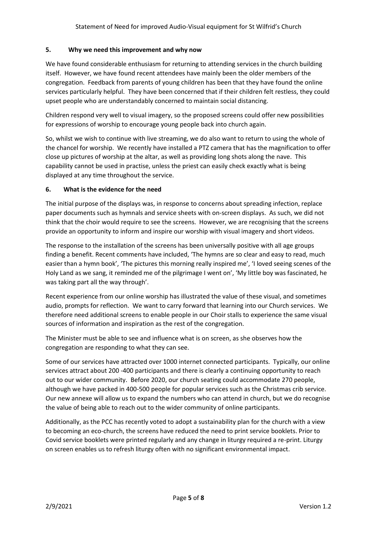### **5. Why we need this improvement and why now**

We have found considerable enthusiasm for returning to attending services in the church building itself. However, we have found recent attendees have mainly been the older members of the congregation. Feedback from parents of young children has been that they have found the online services particularly helpful. They have been concerned that if their children felt restless, they could upset people who are understandably concerned to maintain social distancing.

Children respond very well to visual imagery, so the proposed screens could offer new possibilities for expressions of worship to encourage young people back into church again.

So, whilst we wish to continue with live streaming, we do also want to return to using the whole of the chancel for worship. We recently have installed a PTZ camera that has the magnification to offer close up pictures of worship at the altar, as well as providing long shots along the nave. This capability cannot be used in practise, unless the priest can easily check exactly what is being displayed at any time throughout the service.

#### **6. What is the evidence for the need**

The initial purpose of the displays was, in response to concerns about spreading infection, replace paper documents such as hymnals and service sheets with on-screen displays. As such, we did not think that the choir would require to see the screens. However, we are recognising that the screens provide an opportunity to inform and inspire our worship with visual imagery and short videos.

The response to the installation of the screens has been universally positive with all age groups finding a benefit. Recent comments have included, 'The hymns are so clear and easy to read, much easier than a hymn book', 'The pictures this morning really inspired me', 'I loved seeing scenes of the Holy Land as we sang, it reminded me of the pilgrimage I went on', 'My little boy was fascinated, he was taking part all the way through'.

Recent experience from our online worship has illustrated the value of these visual, and sometimes audio, prompts for reflection. We want to carry forward that learning into our Church services. We therefore need additional screens to enable people in our Choir stalls to experience the same visual sources of information and inspiration as the rest of the congregation.

The Minister must be able to see and influence what is on screen, as she observes how the congregation are responding to what they can see.

Some of our services have attracted over 1000 internet connected participants. Typically, our online services attract about 200 -400 participants and there is clearly a continuing opportunity to reach out to our wider community. Before 2020, our church seating could accommodate 270 people, although we have packed in 400-500 people for popular services such as the Christmas crib service. Our new annexe will allow us to expand the numbers who can attend in church, but we do recognise the value of being able to reach out to the wider community of online participants.

Additionally, as the PCC has recently voted to adopt a sustainability plan for the church with a view to becoming an eco-church, the screens have reduced the need to print service booklets. Prior to Covid service booklets were printed regularly and any change in liturgy required a re-print. Liturgy on screen enables us to refresh liturgy often with no significant environmental impact.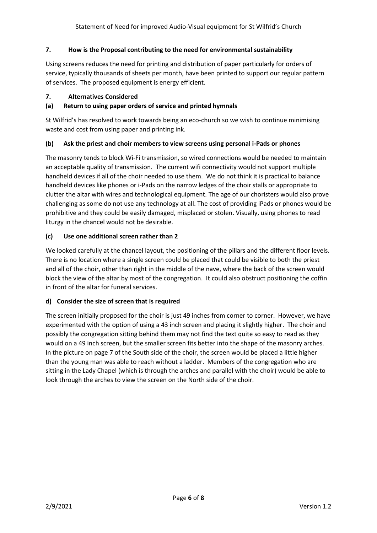### **7. How is the Proposal contributing to the need for environmental sustainability**

Using screens reduces the need for printing and distribution of paper particularly for orders of service, typically thousands of sheets per month, have been printed to support our regular pattern of services. The proposed equipment is energy efficient.

#### **7. Alternatives Considered**

#### **(a) Return to using paper orders of service and printed hymnals**

St Wilfrid's has resolved to work towards being an eco-church so we wish to continue minimising waste and cost from using paper and printing ink.

#### **(b) Ask the priest and choir members to view screens using personal i-Pads or phones**

The masonry tends to block Wi-Fi transmission, so wired connections would be needed to maintain an acceptable quality of transmission. The current wifi connectivity would not support multiple handheld devices if all of the choir needed to use them. We do not think it is practical to balance handheld devices like phones or i-Pads on the narrow ledges of the choir stalls or appropriate to clutter the altar with wires and technological equipment. The age of our choristers would also prove challenging as some do not use any technology at all. The cost of providing iPads or phones would be prohibitive and they could be easily damaged, misplaced or stolen. Visually, using phones to read liturgy in the chancel would not be desirable.

#### **(c) Use one additional screen rather than 2**

We looked carefully at the chancel layout, the positioning of the pillars and the different floor levels. There is no location where a single screen could be placed that could be visible to both the priest and all of the choir, other than right in the middle of the nave, where the back of the screen would block the view of the altar by most of the congregation. It could also obstruct positioning the coffin in front of the altar for funeral services.

### **d) Consider the size of screen that is required**

The screen initially proposed for the choir is just 49 inches from corner to corner. However, we have experimented with the option of using a 43 inch screen and placing it slightly higher. The choir and possibly the congregation sitting behind them may not find the text quite so easy to read as they would on a 49 inch screen, but the smaller screen fits better into the shape of the masonry arches. In the picture on page 7 of the South side of the choir, the screen would be placed a little higher than the young man was able to reach without a ladder. Members of the congregation who are sitting in the Lady Chapel (which is through the arches and parallel with the choir) would be able to look through the arches to view the screen on the North side of the choir.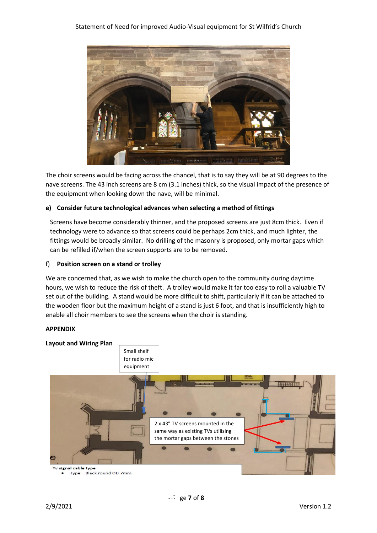

The choir screens would be facing across the chancel, that is to say they will be at 90 degrees to the nave screens. The 43 inch screens are 8 cm (3.1 inches) thick, so the visual impact of the presence of the equipment when looking down the nave, will be minimal.

#### **e) Consider future technological advances when selecting a method of fittings**

Screens have become considerably thinner, and the proposed screens are just 8cm thick. Even if technology were to advance so that screens could be perhaps 2cm thick, and much lighter, the fittings would be broadly similar. No drilling of the masonry is proposed, only mortar gaps which can be refilled if/when the screen supports are to be removed.

#### f) **Position screen on a stand or trolley**

We are concerned that, as we wish to make the church open to the community during daytime hours, we wish to reduce the risk of theft. A trolley would make it far too easy to roll a valuable TV set out of the building. A stand would be more difficult to shift, particularly if it can be attached to the wooden floor but the maximum height of a stand is just 6 foot, and that is insufficiently high to enable all choir members to see the screens when the choir is standing.

#### **APPENDIX**